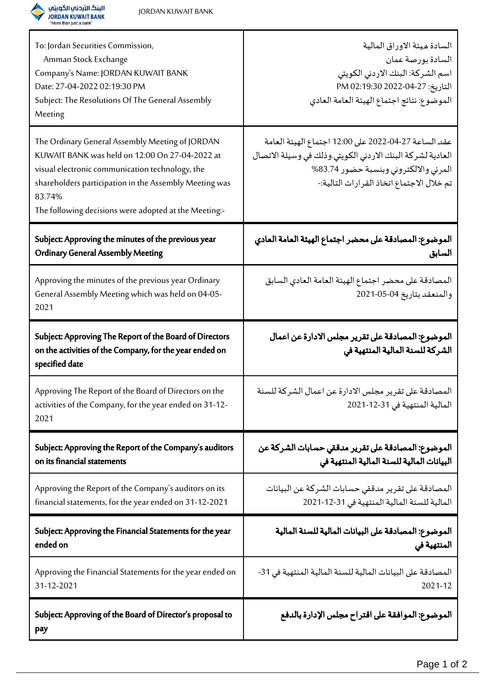

| To: Jordan Securities Commission,<br>Amman Stock Exchange<br>Company's Name: JORDAN KUWAIT BANK<br>Date: 27-04-2022 02:19:30 PM<br>Subject: The Resolutions Of The General Assembly<br>Meeting                                                                                    | السادة ميئة الاوراق المالية<br>السادة بورصة عمان<br>اسم الشركة: البنك الاردني الكويتي<br>التاريخ: 27-04-2022 PM 02:19:30<br>الموضوع: نتائج اجتماع الهيئة العامة العادي                                  |
|-----------------------------------------------------------------------------------------------------------------------------------------------------------------------------------------------------------------------------------------------------------------------------------|---------------------------------------------------------------------------------------------------------------------------------------------------------------------------------------------------------|
| The Ordinary General Assembly Meeting of JORDAN<br>KUWAIT BANK was held on 12:00 On 27-04-2022 at<br>visual electronic communication technology, the<br>shareholders participation in the Assembly Meeting was<br>83.74%<br>The following decisions were adopted at the Meeting:- | عقد الساعة 27-04-2022 على 12:00 اجتماع الهيئة العامة<br>العادية لشركة البنك الاردني الكويتي.وذلك في وسيلة الاتصال<br>المرئي والالكتروني وبنسبة حضور 83.74%<br>تم خلال الاجتماع اتخاذ القرارات التالية:- |
| Subject: Approving the minutes of the previous year<br><b>Ordinary General Assembly Meeting</b>                                                                                                                                                                                   | الموضوع: المصادقة على محضر اجتماع الهيئة العامة العادي<br>السابق                                                                                                                                        |
| Approving the minutes of the previous year Ordinary<br>General Assembly Meeting which was held on 04-05-<br>2021                                                                                                                                                                  | المصادقة على محضر اجتماع الهيئة العامة العادي السابق<br>والمنعقد بتاريخ 04-05-2021                                                                                                                      |
| Subject: Approving The Report of the Board of Directors<br>on the activities of the Company, for the year ended on<br>specified date                                                                                                                                              | الموضوع: المصادقة على تقرير مجلس الادارة عن اعمال<br>الشركة للسنة المالية المنتهية في                                                                                                                   |
| Approving The Report of the Board of Directors on the<br>activities of the Company, for the year ended on 31-12-<br>2021                                                                                                                                                          | المصادقة على تقرير مجلس الادارة عن اعمال الشركة للسنة<br>المالية المنتهية في 31-12-2021                                                                                                                 |
| Subject: Approving the Report of the Company's auditors<br>on its financial statements                                                                                                                                                                                            | الموضوع: المصادقة على تقرير مدققي حسابات الشركة عن<br>البيانات المالية للسنة المالية المنتهية في                                                                                                        |
| Approving the Report of the Company's auditors on its<br>financial statements, for the year ended on 31-12-2021                                                                                                                                                                   | المصادقة على تقرير مدققي حسابات الشركة عن البيانات<br>المالية للسنة المالية المنتهية في 31-12-2021                                                                                                      |
| Subject: Approving the Financial Statements for the year<br>ended on                                                                                                                                                                                                              | الموضوع: المصادقة على البيانات المالية للسنة المالية<br>المنتهية في                                                                                                                                     |
| Approving the Financial Statements for the year ended on<br>31-12-2021                                                                                                                                                                                                            | المصادقة على البيانات المالية للسنة المالية المنتهية في 31-<br>2021-12                                                                                                                                  |
| Subject: Approving of the Board of Director's proposal to<br>pay                                                                                                                                                                                                                  | الموضوع: الموافقة على اقتراح مجلس الإدارة بالدفع                                                                                                                                                        |